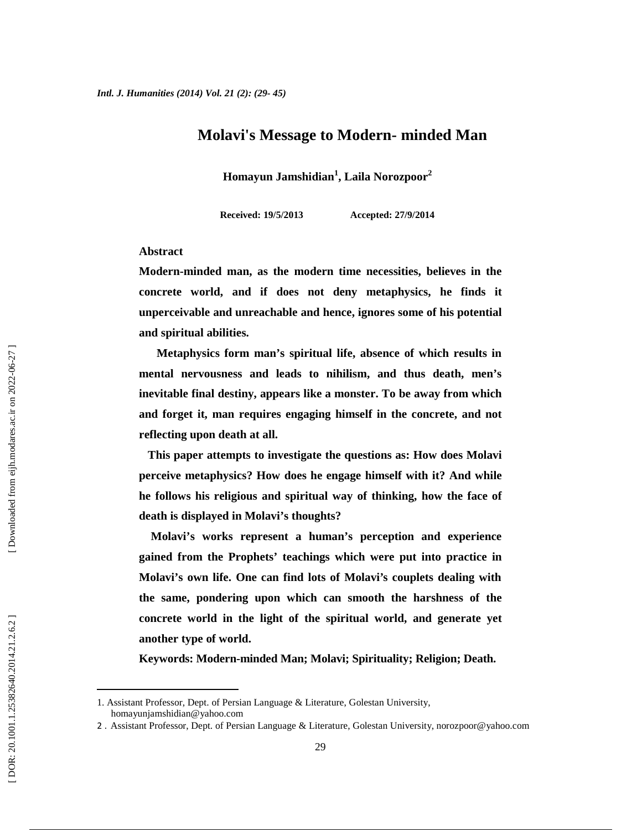## **Molavi's Message to Modern- minded Man**

**Homayun Jamshidian<sup>1</sup> , Laila Norozpoor<sup>2</sup>**

**Received: 19/5/2013 Accepted: 27/9/2014**

### **Abstract**

**Modern-minded man, as the modern time necessities, believes in the concrete world, and if does not deny metaphysics, he finds it unperceivable and unreachable and hence, ignores some of his potential and spiritual abilities.**

**Metaphysics form man's spiritual life, absence of which results in mental nervousness and leads to nihilism, and thus death, men's inevitable final destiny, appears like a monster. To be away from which and forget it, man requires engaging himself in the concrete, and not reflecting upon death at all.**

**This paper attempts to investigate the questions as: How does Molavi perceive metaphysics? How does he engage himself with it? And while he follows his religious and spiritual way of thinking, how the face of death is displayed in Molavi's thoughts?**

**Molavi's works represent a human's perception and experience gained from the Prophets' teachings which were put into practice in Molavi's own life. One can find lots of Molavi's couplets dealing with the same, pondering upon which can smooth the harshness of the concrete world in the light of the spiritual world, and generate yet another type of world.**

**Keywords: Modern-minded Man; Molavi; Spirituality; Religion; Death.**

<sup>1.</sup> Assistant Professor, Dept. of Persian Language & Literature, Golestan University, homayunjamshidian@yahoo.com

<sup>2</sup> . Assistant Professor, Dept. of Persian Language & Literature, Golestan University, norozpoor@yahoo.com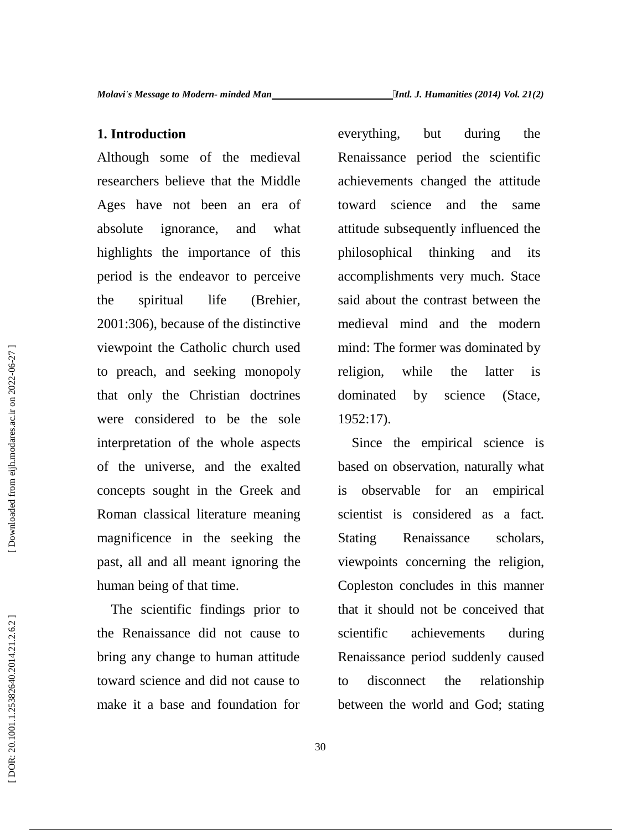**1. Introduction**<br>
every<br>
Although some of the medieval<br>
researchers believe that the Middle<br>
Ages have not been an era of<br>
towar<br>
absolute ignorance, and what<br>
attitud<br>
highlights the importance of this<br>
period is the end Although some of the medieval researchers believe that the Middle Ages have not been an era of absolute ignorance, and what highlights the importance of this period is the endeavor to perceive the spiritual life (Brehier, 2001:306), because of the distinctive viewpoint the Catholic church used to preach, and seeking monopoly that only the Christian doctrines were considered to be the sole interpretation of the whole aspects of the universe, and the exalted concepts sought in the Greek and Roman classical literature meaning magnificence in the seeking the Stating past, all and all meant ignoring the human being of that time.

The scientific findings prior to the Renaissance did not cause to bring any change to human attitude toward science and did not cause to make it a base and foundation for

everything, but during the Renaissance period the scientific achievements changed the attitude toward science and the same attitude subsequently influenced the philosophical thinking and its accomplishments very much. Stace said about the contrast between the medieval mind and the modern mind: The former was dominated by religion, while the latter is dominated by science (Stace, 1952:17).

Since the empirical science is based on observation, naturally what observable for an empirical scientist is considered as a fact. Renaissance scholars, viewpoints concerning the religion, Copleston concludes in this manner that it should not be conceived that achievements during Renaissance period suddenly caused disconnect the relationship between the world and God; stating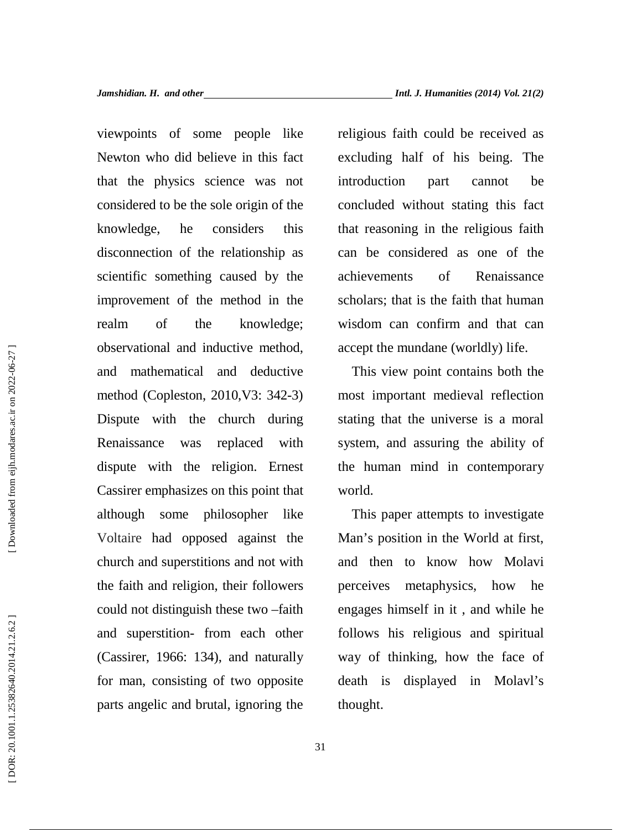viewpoints of some people like Newton who did believe in this fact that the physics science was not considered to be the sole origin of the knowledge, he considers this disconnection of the relationship as scientific something caused by the improvement of the method in the realm of the knowledge; observational and inductive method, and mathematical and deductive method (Copleston, 2010,V3: 342-3) Dispute with the church during Renaissance was replaced with dispute with the religion. Ernest Cassirer emphasizes on this point that although some philosopher like Voltaire had opposed against the church and superstitions and not with the faith and religion, their followers could not distinguish these two –faith and superstition- from each other (Cassirer, 1966: 134), and naturally for man, consisting of two opposite parts angelic and brutal, ignoring the

religious faith could be received as excluding half of his being. The introduction part cannot be concluded without stating this fact that reasoning in the religious faith can be considered as one of the achievements of Renaissance scholars; that is the faith that human wisdom can confirm and that can accept the mundane (worldly) life.

This view point contains both the most important medieval reflection stating that the universe is a moral system, and assuring the ability of the human mind in contemporary world.

This paper attempts to investigate Man's position in the World at first, and then to know how Molavi metaphysics, how he engages himself in it , and while he follows his religious and spiritual way of thinking, how the face of death is displayed in Molavl's thought.

31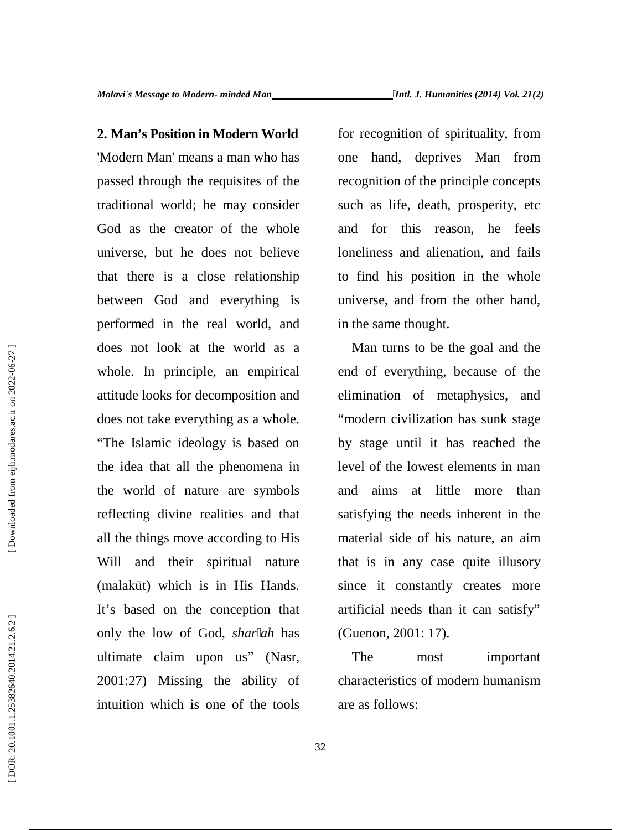**2. Man's Position in Modern World** for re<br>
"Modern Man' means a man who has<br>
one<br>
passed through the requisites of the<br>
crocog<br>
traditional world; he may consider<br>
God as the creator of the whole<br>
and<br>
universe, but he d 'Modern Man' means a man who has passed through the requisites of the traditional world; he may consider God as the creator of the whole universe, but he does not believe that there is a close relationship between God and everything is performed in the real world, and does not look at the world as a whole. In principle, an empirical attitude looks for decomposition and does not take everything as a whole. "The Islamic ideology is based on the idea that all the phenomena in the world of nature are symbols reflecting divine realities and that all the things move according to His Will and their spiritual nature (malak t) which is in His Hands. It's based on the conception that only the low of God, *shar ah* has ultimate claim upon us" (Nasr, 2001:27) Missing the ability of intuition which is one of the tools

for recognition of spirituality, from one hand, deprives Man from recognition of the principle concepts such as life, death, prosperity, etc and for this reason, he feels loneliness and alienation, and fails to find his position in the whole universe, and from the other hand, in the same thought.

Man turns to be the goal and the end of everything, because of the elimination of metaphysics, and "modern civilization has sunk stage by stage until it has reached the level of the lowest elements in man and aims at little more than satisfying the needs inherent in the material side of his nature, an aim that is in any case quite illusory since it constantly creates more artificial needs than it can satisfy" (Guenon, 2001: 17).

The most important characteristics of modern humanism are as follows: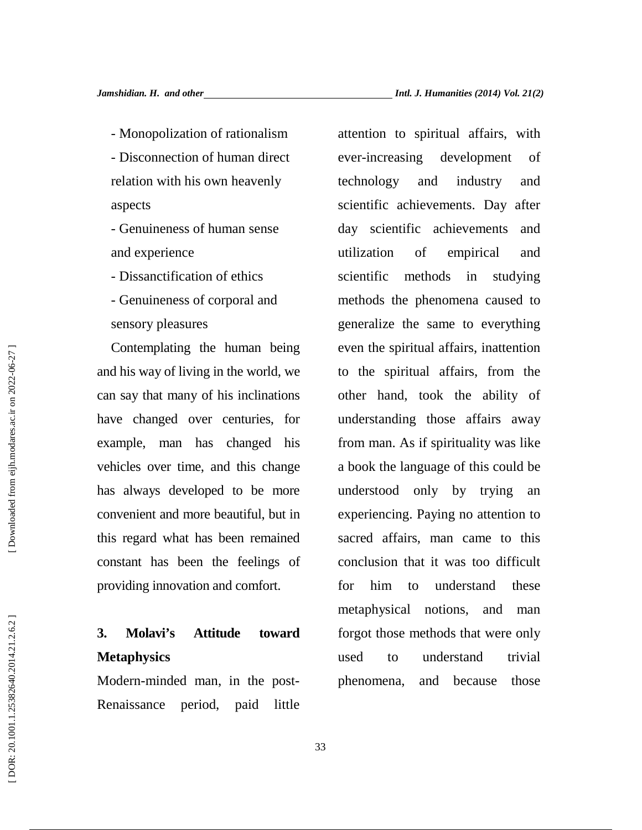relation with his own heavenly aspects

- Genuineness of human sense and experience

- Dissanctification of ethics

- Genuineness of corporal and sensory pleasures

- Monopolization of rationalism attenti<br>
- Disconnection of human direct ever-in<br>
relation with his own heavenly techno<br>
sepects<br>
- Genuineness of human sense day<br>
-<br>
and experience utiliza<br>
- Dissanctification of ethics s Contemplating the human being and his way of living in the world, we can say that many of his inclinations have changed over centuries, for example, man has changed his vehicles over time, and this change has always developed to be more convenient and more beautiful, but in this regard what has been remained constant has been the feelings of providing innovation and comfort.

## **3. Molavi's Attitude toward Metaphysics**

Modern-minded man, in the post- Renaissance period, paid little attention to spiritual affairs, with ever-increasing development of technology and industry and scientific achievements. Day after day scientific achievements and utilization of empirical and scientific methods in studying methods the phenomena caused to generalize the same to everything even the spiritual affairs, inattention to the spiritual affairs, from the other hand, took the ability of understanding those affairs away from man. As if spirituality was like a book the language of this could be understood only by trying an experiencing. Paying no attention to sacred affairs, man came to this conclusion that it was too difficult for him to understand these metaphysical notions, and man forgot those methods that were only used to understand trivial phenomena, and because those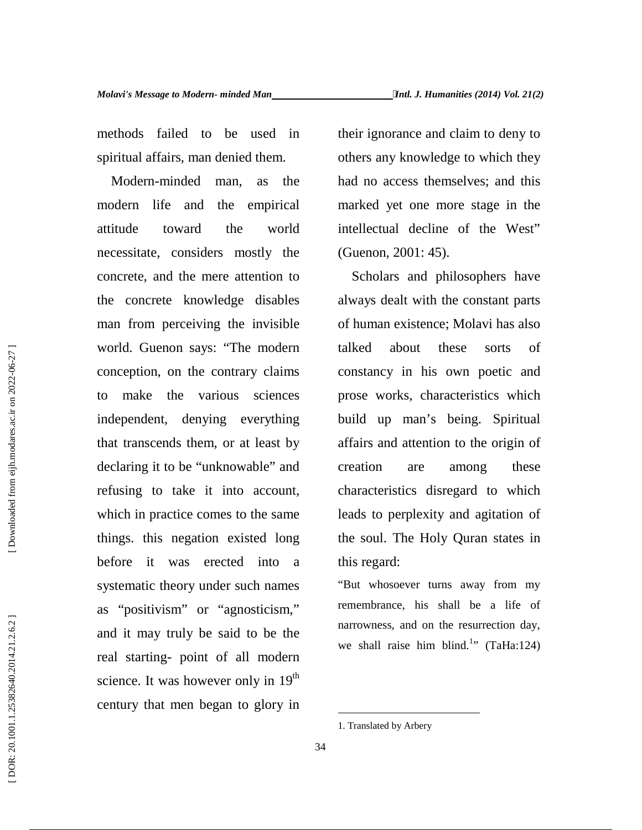methods failed to be used in spiritual affairs, man denied them.

Modern-minded man, as the modern life and the empirical attitude toward the world necessitate, considers mostly the concrete, and the mere attention to the concrete knowledge disables man from perceiving the invisible world. Guenon says: "The modern conception, on the contrary claims to make the various sciences independent, denying everything that transcends them, or at least by declaring it to be "unknowable" and refusing to take it into account, which in practice comes to the same things. this negation existed long before it was erected into a systematic theory under such names as "positivism" or "agnosticism," and it may truly be said to be the real starting- point of all modern science. It was however only in 19<sup>th</sup> century that men began to glory in

their ignorance and claim to deny to others any knowledge to which they had no access themselves; and this marked yet one more stage in the intellectual decline of the West" (Guenon, 2001: 45).

Scholars and philosophers have always dealt with the constant parts of human existence; Molavi has also talked about these sorts of constancy in his own poetic and prose works, characteristics which build up man's being. Spiritual affairs and attention to the origin of creation are among these characteristics disregard to which leads to perplexity and agitation of the soul. The Holy Quran states in this regard:

"But whosoever turns away from my remembrance, his shall be a life of narrowness, and on the resurrection day, we shall raise him blind.<sup>1</sup>" (TaHa:124)

<sup>1.</sup> Translated by Arbery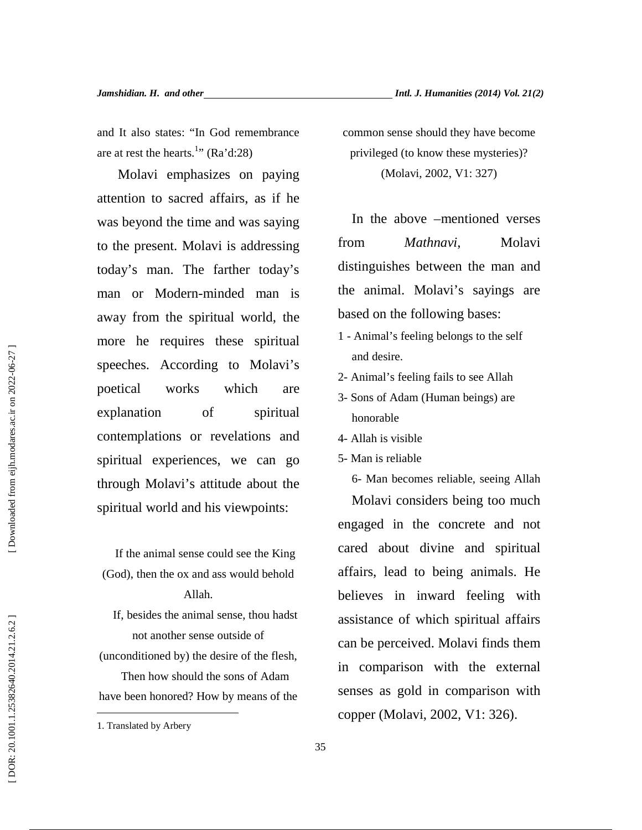and It also states: "In God remembrance are at rest the hearts.<sup>1</sup>" (Ra'd:28)

Molavi emphasizes on paying attention to sacred affairs, as if he was beyond the time and was saying to the present. Molavi is addressing today's man. The farther today's man or Modern-minded man is away from the spiritual world, the more he requires these spiritual speeches. According to Molavi's poetical works which are explanation of spiritual contemplations or revelations and spiritual experiences, we can go through Molavi's attitude about the spiritual world and his viewpoints:

If the animal sense could see the King (God), then the ox and ass would behold Allah.

If, besides the animal sense, thou hadst not another sense outside of

(unconditioned by) the desire of the flesh, Then how should the sons of Adam have been honored? How by means of the common sense should they have become privileged (to know these mysteries)? (Molavi, 2002, V1: 327)

In the above –mentioned verses *Mathnavi*, Molavi distinguishes between the man and the animal. Molavi's sayings are based on the following bases:

- 1 Animal's feeling belongs to the self and desire.
- 2- Animal's feeling fails to see Allah
- 3- Sons of Adam (Human beings) are honorable
- 4- Allah is visible
- 5- Man is reliable

6- Man becomes reliable, seeing Allah Molavi considers being too much engaged in the concrete and not cared about divine and spiritual affairs, lead to being animals. He believes in inward feeling with assistance of which spiritual affairs can be perceived. Molavi finds them in comparison with the external senses as gold in comparison with Examples a conditioned by the desire of this speeches. According to Molavi's and desire.<br>
Specifical works which are  $\frac{3}{2}$ -Sons of Adam (Human beings) are<br>
explanation of spiritual engeriences, we can go  $\frac{4}{5}$ -Man

<sup>1.</sup> Translated by Arbery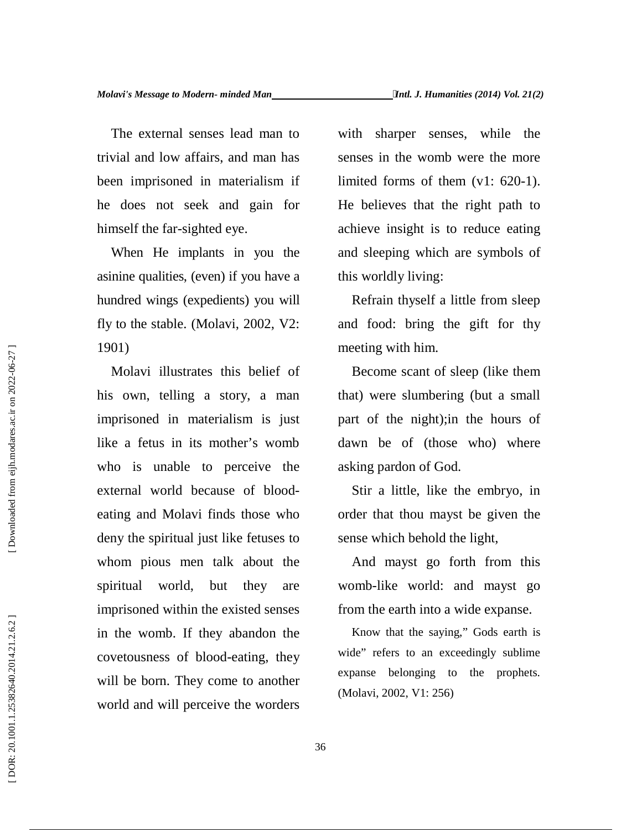The external senses lead man to trivial and low affairs, and man has been imprisoned in materialism if he does not seek and gain for himself the far-sighted eye.

When He implants in you the asinine qualities, (even) if you have a hundred wings (expedients) you will fly to the stable. (Molavi, 2002, V2: 1901)

Molavi illustrates this belief of his own, telling a story, a man imprisoned in materialism is just like a fetus in its mother's womb who is unable to perceive the external world because of blood eating and Molavi finds those who deny the spiritual just like fetuses to whom pious men talk about the spiritual world, but they are imprisoned within the existed senses in the womb. If they abandon the covetousness of blood-eating, they will be born. They come to another world and will perceive the worders (Molavi, 2002, V1: 256)<br>
Molavi illustrates this belief of Become scant of s<br>
his own, telling a story, a man<br>
that) were slumberir<br>
imprisoned in materialism is just<br>
like a fetus in its mother's womb dawn be of (those<br>

with sharper senses, while the senses in the womb were the more limited forms of them (v1: 620-1). He believes that the right path to achieve insight is to reduce eating and sleeping which are symbols of this worldly living:

Refrain thyself a little from sleep and food: bring the gift for thy meeting with him.

Become scant of sleep (like them that) were slumbering (but a small part of the night);in the hours of dawn be of (those who) where asking pardon of God.

Stir a little, like the embryo, in order that thou mayst be given the sense which behold the light,

And mayst go forth from this womb-like world: and mayst go from the earth into a wide expanse.

Know that the saying," Gods earth is wide" refers to an exceedingly sublime expanse belonging to the prophets.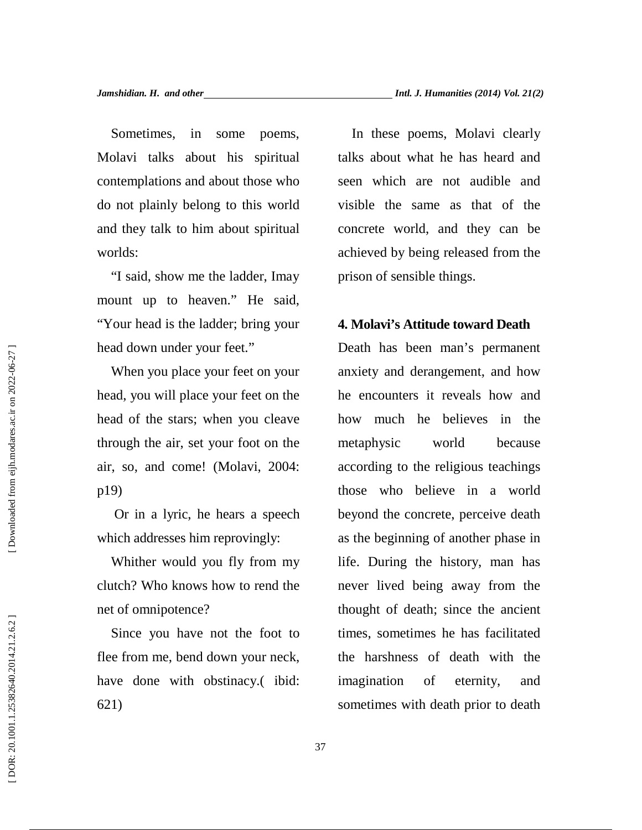Sometimes, in some poems, Molavi talks about his spiritual contemplations and about those who do not plainly belong to this world and they talk to him about spiritual worlds:

"I said, show me the ladder, Imay mount up to heaven." He said, "Your head is the ladder; bring your head down under your feet."

When you place your feet on your head, you will place your feet on the head of the stars; when you cleave through the air, set your foot on the air, so, and come! (Molavi, 2004: p19)

Or in a lyric, he hears a speech which addresses him reprovingly:

Whither would you fly from my clutch? Who knows how to rend the net of omnipotence?

Since you have not the foot to flee from me, bend down your neck, have done with obstinacy. (ibid: 621)

In these poems, Molavi clearly talks about what he has heard and seen which are not audible and visible the same as that of the concrete world, and they can be achieved by being released from the prison of sensible things.

## **4. Molavi's Attitude toward Death**

Death has been man's permanent anxiety and derangement, and how he encounters it reveals how and how much he believes in the metaphysic world because according to the religious teachings those who believe in a world beyond the concrete, perceive death as the beginning of another phase in life. During the history, man has never lived being away from the thought of death; since the ancient times, sometimes he has facilitated the harshness of death with the imagination of eternity, and sometimes with death prior to death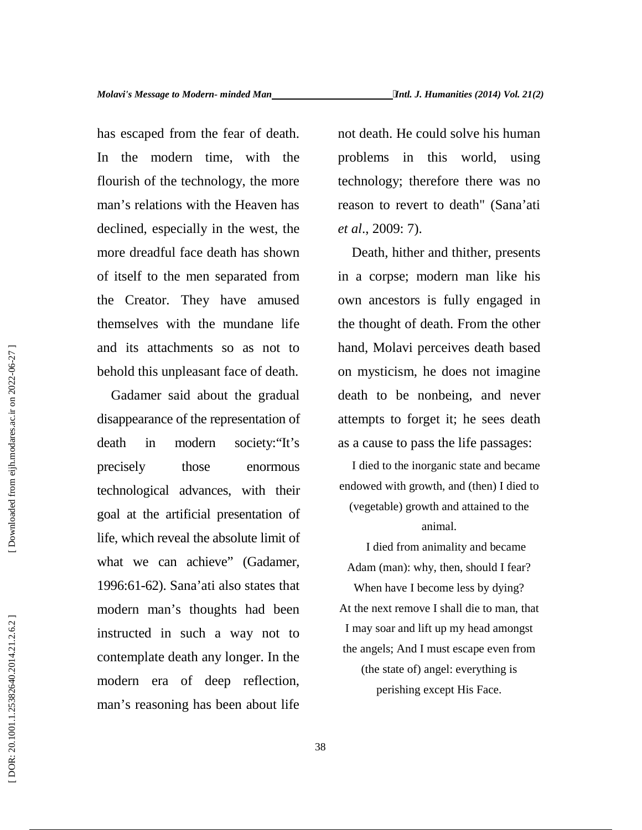has escaped from the fear of death. In the modern time, with the problems in flourish of the technology, the more man's relations with the Heaven has declined, especially in the west, the more dreadful face death has shown of itself to the men separated from the Creator. They have amused themselves with the mundane life and its attachments so as not to behold this unpleasant face of death.

Gadamer said about the gradual disappearance of the representation of death in modern society:"It's precisely those enormous technological advances, with their goal at the artificial presentation of life, which reveal the absolute limit of what we can achieve" (Gadamer, 1996:61-62). Sana'ati also states that modern man's thoughts had been instructed in such a way not to contemplate death any longer. In the modern era of deep reflection, man's reasoning has been about life

not death. He could solve his human this world, using technology; therefore there was no reason to revert to death" (Sana'ati *et al*., 2009: 7).

Death, hither and thither, presents in a corpse; modern man like his own ancestors is fully engaged in the thought of death. From the other hand, Molavi perceives death based on mysticism, he does not imagine death to be nonbeing, and never attempts to forget it; he sees death as a cause to pass the life passages:

I died to the inorganic state and became endowed with growth, and (then) I died to (vegetable) growth and attained to the animal.

I died from animality and became Adam (man): why, then, should I fear? When have I become less by dying? At the next remove I shall die to man, that I may soar and lift up my head amongst the angels; And I must escape even from (the state of) angel: everything is perishing except His Face.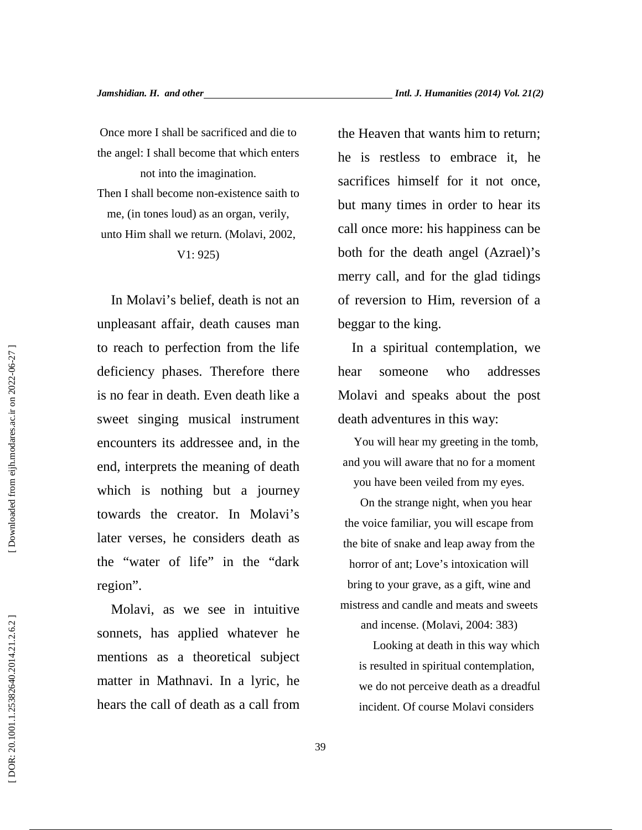Once more I shall be sacrificed and die to the angel: I shall become that which enters not into the imagination. Then I shall become non-existence saith to me, (in tones loud) as an organ, verily, unto Him shall we return. (Molavi, 2002, V1: 925)

In Molavi's belief, death is not an unpleasant affair, death causes man to reach to perfection from the life deficiency phases. Therefore there hear is no fear in death. Even death like a sweet singing musical instrument encounters its addressee and, in the end, interprets the meaning of death which is nothing but a journey towards the creator. In Molavi's later verses, he considers death as the "water of life" in the "dark region".

Molavi, as we see in intuitive sonnets, has applied whatever he mentions as a theoretical subject matter in Mathnavi. In a lyric, he hears the call of death as a call from the Heaven that wants him to return; he is restless to embrace it, he sacrifices himself for it not once, but many times in order to hear its call once more: his happiness can be both for the death angel (Azrael)'s merry call, and for the glad tidings of reversion to Him, reversion of a beggar to the king.

In a spiritual contemplation, we someone who addresses Molavi and speaks about the post death adventures in this way:

You will hear my greeting in the tomb, and you will aware that no for a moment you have been veiled from my eyes.

On the strange night, when you hear the voice familiar, you will escape from the bite of snake and leap away from the horror of ant; Love's intoxication will bring to your grave, as a gift, wine and mistress and candle and meats and sweets and incense. (Molavi, 2004: 383)

Looking at death in this way which is resulted in spiritual contemplation, we do not perceive death as a dreadful incident. Of course Molavi considers

Downloaded from eijh.modares.ac.ir on 2022-06-27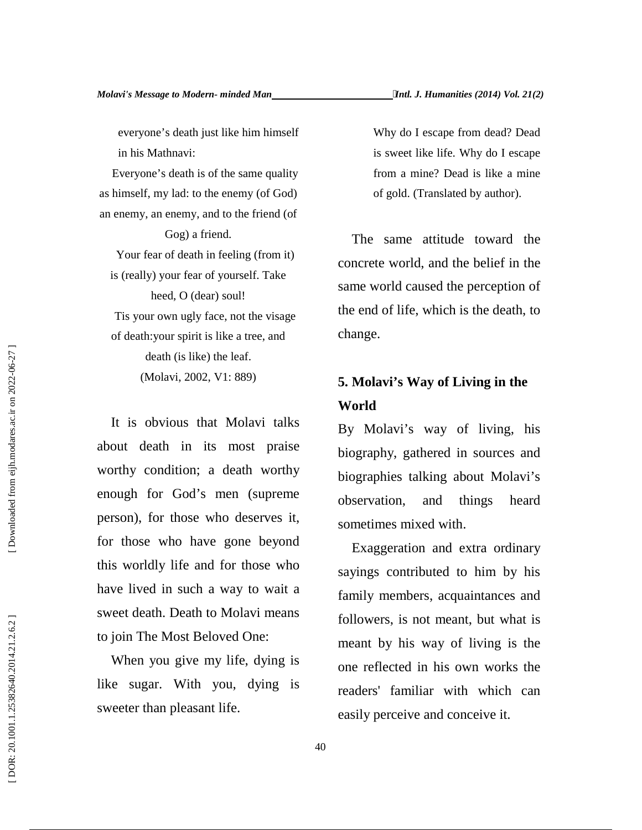everyone's death just like him himself in his Mathnavi:

Everyone's death is of the same quality as himself, my lad: to the enemy (of God) an enemy, an enemy, and to the friend (of

Gog) a friend.

Your fear of death in feeling (from it) is (really) your fear of yourself. Take heed, O (dear) soul! Tis your own ugly face, not the visage of death:your spirit is like a tree, and death (is like) the leaf. (Molavi, 2002, V1: 889)

It is obvious that Molavi talks about death in its most praise worthy condition; a death worthy enough for God's men (supreme person), for those who deserves it, for those who have gone beyond this worldly life and for those who have lived in such a way to wait a sweet death. Death to Molavi means to join The Most Beloved One:

When you give my life, dying is like sugar. With you, dying is sweeter than pleasant life.

Why do I escape from dead? Dead is sweet like life. Why do I escape from a mine? Dead is like a mine of gold. (Translated by author).

The same attitude toward the concrete world, and the belief in the same world caused the perception of the end of life, which is the death, to change.

# **5. Molavi's Way of Living in the World**

By Molavi's way of living, his biography, gathered in sources and biographies talking about Molavi's observation, and things heard sometimes mixed with.

Exaggeration and extra ordinary sayings contributed to him by his family members, acquaintances and followers, is not meant, but what is meant by his way of living is the one reflected in his own works the readers' familiar with which can easily perceive and conceive it.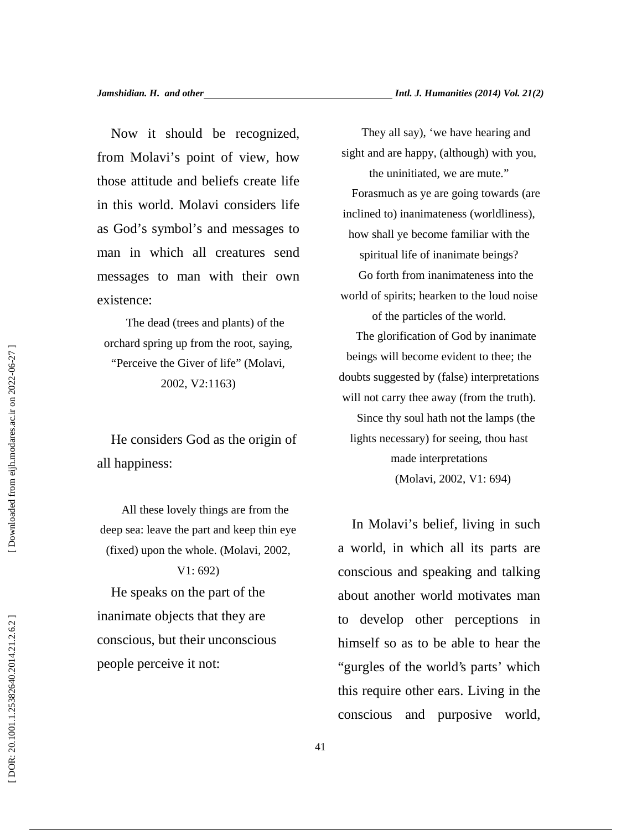Now it should be recognized, from Molavi's point of view, how those attitude and beliefs create life in this world. Molavi considers life as God's symbol's and messages to man in which all creatures send messages to man with their own existence:

The dead (trees and plants) of the orchard spring up from the root, saying, "Perceive the Giver of life" (Molavi, 2002, V2:1163)

He considers God as the origin of all happiness:

All these lovely things are from the deep sea: leave the part and keep thin eye (fixed) upon the whole. (Molavi, 2002,

V1: 692) He speaks on the part of the inanimate objects that they are conscious, but their unconscious people perceive it not:

They all say), 'we have hearing and sight and are happy, (although) with you, the uninitiated, we are mute." Forasmuch as ye are going towards (are inclined to) inanimateness (worldliness), how shall ye become familiar with the spiritual life of inanimate beings? Go forth from inanimateness into the world of spirits; hearken to the loud noise of the particles of the world. The glorification of God by inanimate beings will become evident to thee; the doubts suggested by (false) interpretations will not carry thee away (from the truth). Since thy soul hath not the lamps (the lights necessary) for seeing, thou hast made interpretations (Molavi, 2002, V1: 694)

In Molavi's belief, living in such a world, in which all its parts are conscious and speaking and talking about another world motivates man to develop other perceptions in himself so as to be able to hear the "gurgles of the world's parts' which this require other ears. Living in the conscious and purposive world,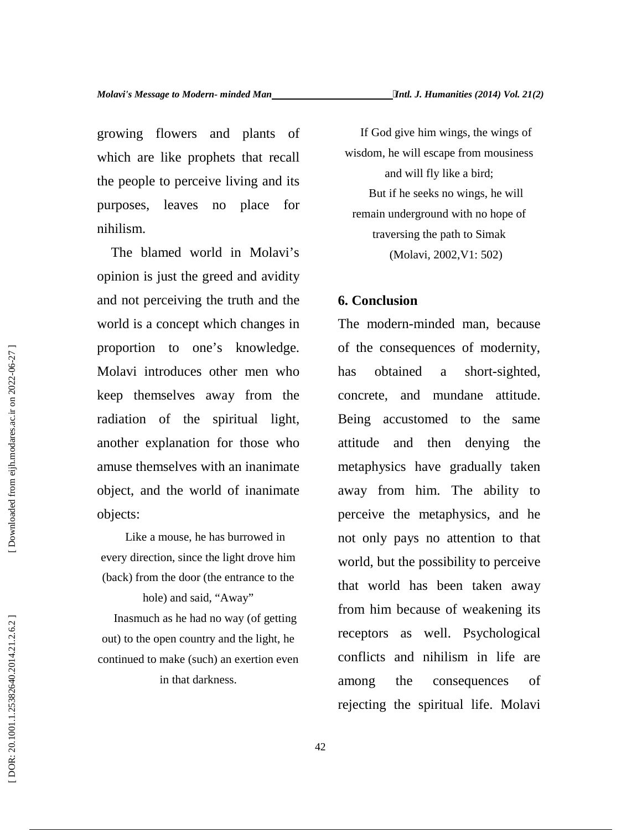growing flowers and plants of which are like prophets that recall the people to perceive living and its purposes, leaves no place for nihilism.

The blamed world in Molavi's opinion is just the greed and avidity and not perceiving the truth and the world is a concept which changes in proportion to one's knowledge. Molavi introduces other men who keep themselves away from the radiation of the spiritual light, another explanation for those who amuse themselves with an inanimate object, and the world of inanimate objects:

Like a mouse, he has burrowed in every direction, since the light drove him (back) from the door (the entrance to the hole) and said, "Away" Inasmuch as he had no way (of getting out) to the open country and the light, he

continued to make (such) an exertion even in that darkness.

If God give him wings, the wings of wisdom, he will escape from mousiness and will fly like a bird; But if he seeks no wings, he will remain underground with no hope of traversing the path to Simak (Molavi, 2002,V1: 502)

## **6. Conclusion**

The modern-minded man, because of the consequences of modernity, obtained a short-sighted, concrete, and mundane attitude. Being accustomed to the same attitude and then denying the metaphysics have gradually taken away from him. The ability to perceive the metaphysics, and he not only pays no attention to that world, but the possibility to perceive that world has been taken away from him because of weakening its receptors as well. Psychological conflicts and nihilism in life are among the consequences of rejecting the spiritual life. Molavi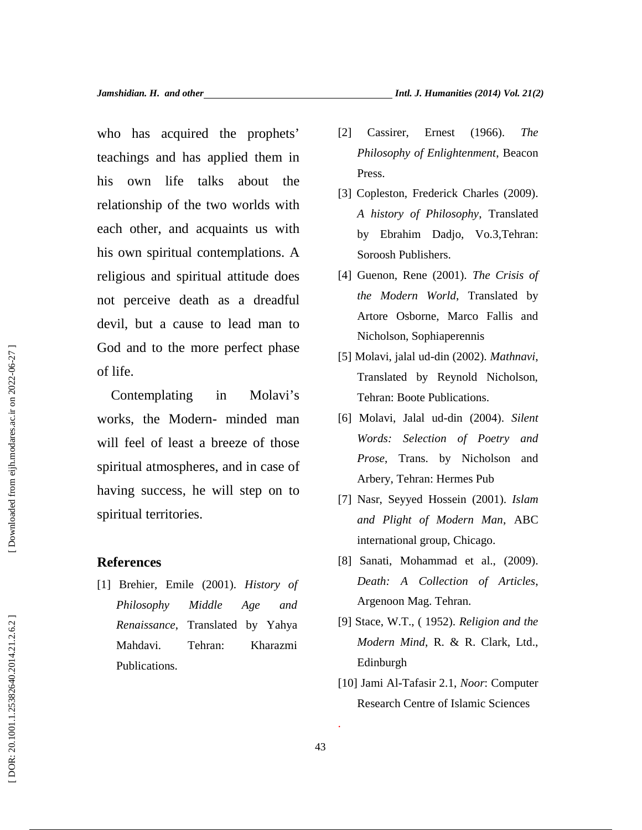who has acquired the prophets' teachings and has applied them in his own life talks about the relationship of the two worlds with each other, and acquaints us with his own spiritual contemplations. A religious and spiritual attitude does not perceive death as a dreadful devil, but a cause to lead man to God and to the more perfect phase of life. The prophets<sup>2</sup> (2) Cassier, Ernest (1966). *The*<br>
hings and has applied them in *Philosophy of Enlightenment*, Beacon<br>
own life talks about the *Press*.<br>
from the charge of *Press* (2009).<br>
In other, and acquaints us with

Contemplating in Molavi's works, the Modern- minded man will feel of least a breeze of those spiritual atmospheres, and in case of having success, he will step on to spiritual territories. God and to the more perfect phase<br>
of life.<br>
Contemplating in Molavi's<br>
works, the Modern-minded man<br>
will feel of least a breeze of those<br>
spiritual atmospheres, and in case of<br>
having success, he will step on to<br>
spiritu

### **References**

[1] Brehier, Emile (2001). *History of Philosophy Middle Age and Renaissance*, Translated by Yahya Mahdavi. Tehran: Kharazmi

- *Philosophy of Enlightenment*, Beacon Press.
- [3] Copleston, Frederick Charles (2009). *A history of Philosophy*, Translated by Ebrahim Dadjo, Vo.3,Tehran: Soroosh Publishers.
- [4] Guenon, Rene (2001). *The Crisis of the Modern World*, Translated by Artore Osborne, Marco Fallis and Nicholson, Sophiaperennis
- [5] Molavi, jalal ud-din (2002). *Mathnavi*, Translated by Reynold Nicholson, Tehran: Boote Publications.
- [6] Molavi, Jalal ud-din (2004). *Silent Words: Selection of Poetry and Prose*, Trans. by Nicholson and Arbery, Tehran: Hermes Pub
- [7] Nasr, Seyyed Hossein (2001). *Islam and Plight of Modern Man*, ABC international group, Chicago.
- [8] Sanati, Mohammad et al., (2009). *Death: A Collection of Articles*, Argenoon Mag. Tehran.
- [9] Stace, W.T., ( 1952). *Religion and the Modern Mind*, R. & R. Clark, Ltd., Edinburgh
- [10] Jami Al-Tafasir 2.1, *Noor*: Computer Research Centre of Islamic Sciences